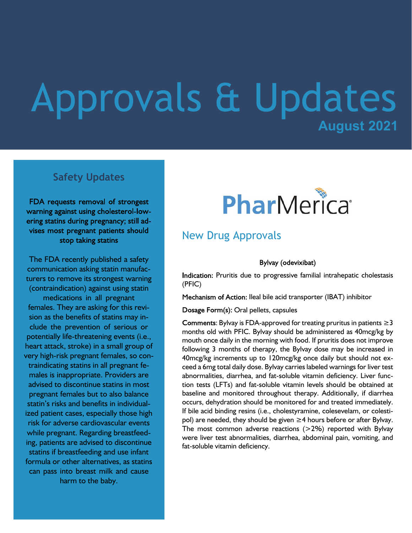# **August 2021** Approvals & Updates

## **Safety Updates**

FDA requests removal of strongest warning against using cholesterol-lowering statins during pregnancy; still advises most pregnant patients should stop taking statins

The FDA recently published a safety communication asking statin manufacturers to remove its strongest warning (contraindication) against using statin medications in all pregnant females. They are asking for this revision as the benefits of statins may include the prevention of serious or potentially life-threatening events (i.e., heart attack, stroke) in a small group of very high-risk pregnant females, so contraindicating statins in all pregnant females is inappropriate. Providers are advised to discontinue statins in most pregnant females but to also balance statin's risks and benefits in individualized patient cases, especially those high risk for adverse cardiovascular events while pregnant. Regarding breastfeeding, patients are advised to discontinue statins if breastfeeding and use infant formula or other alternatives, as statins can pass into breast milk and cause harm to the baby.



## New Drug Approvals

#### Bylvay (odevixibat)

Indication: Pruritis due to progressive familial intrahepatic cholestasis (PFIC)

Mechanism of Action: Ileal bile acid transporter (IBAT) inhibitor

Dosage Form(s): Oral pellets, capsules

Comments: Bylvay is FDA-approved for treating pruritus in patients  $\geq$  3 months old with PFIC. Bylvay should be administered as 40mcg/kg by mouth once daily in the morning with food. If pruritis does not improve following 3 months of therapy, the Bylvay dose may be increased in 40mcg/kg increments up to 120mcg/kg once daily but should not exceed a 6mg total daily dose. Bylvay carries labeled warnings for liver test abnormalities, diarrhea, and fat-soluble vitamin deficiency. Liver function tests (LFTs) and fat-soluble vitamin levels should be obtained at baseline and monitored throughout therapy. Additionally, if diarrhea occurs, dehydration should be monitored for and treated immediately. If bile acid binding resins (i.e., cholestyramine, colesevelam, or colestipol) are needed, they should be given ≥4 hours before or after Bylvay. The most common adverse reactions  $(>2%)$  reported with Bylvay were liver test abnormalities, diarrhea, abdominal pain, vomiting, and fat-soluble vitamin deficiency.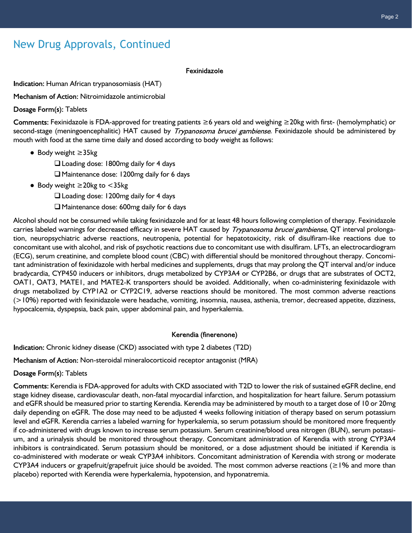## New Drug Approvals, Continued

#### Fexinidazole

Indication: Human African trypanosomiasis (HAT)

Mechanism of Action: Nitroimidazole antimicrobial

Dosage Form(s): Tablets

Fexinidazole is FDA-approved for treating patients ≥6 years old and weighing ≥20kg with first- (hemolymphatic) or second-stage (meningoencephalitic) HAT caused by *Trypanosoma brucei gambiense*. Fexinidazole should be administered by mouth with food at the same time daily and dosed according to body weight as follows:

● Body weight ≥35kg

 $\Box$  Loading dose: 1800mg daily for 4 days

 $\Box$  Maintenance dose: 1200mg daily for 6 days

● Body weight ≥20kg to <35kg

 $\Box$  Loading dose: 1200mg daily for 4 days

 $\Box$  Maintenance dose: 600mg daily for 6 days

Alcohol should not be consumed while taking fexinidazole and for at least 48 hours following completion of therapy. Fexinidazole carries labeled warnings for decreased efficacy in severe HAT caused by Trypanosoma brucei gambiense, QT interval prolongation, neuropsychiatric adverse reactions, neutropenia, potential for hepatotoxicity, risk of disulfiram-like reactions due to concomitant use with alcohol, and risk of psychotic reactions due to concomitant use with disulfiram. LFTs, an electrocardiogram (ECG), serum creatinine, and complete blood count (CBC) with differential should be monitored throughout therapy. Concomitant administration of fexinidazole with herbal medicines and supplements, drugs that may prolong the QT interval and/or induce bradycardia, CYP450 inducers or inhibitors, drugs metabolized by CYP3A4 or CYP2B6, or drugs that are substrates of OCT2, OAT1, OAT3, MATE1, and MATE2-K transporters should be avoided. Additionally, when co-administering fexinidazole with drugs metabolized by CYP1A2 or CYP2C19, adverse reactions should be monitored. The most common adverse reactions (>10%) reported with fexinidazole were headache, vomiting, insomnia, nausea, asthenia, tremor, decreased appetite, dizziness, hypocalcemia, dyspepsia, back pain, upper abdominal pain, and hyperkalemia.

#### Kerendia (finerenone)

Indication: Chronic kidney disease (CKD) associated with type 2 diabetes (T2D)

Mechanism of Action: Non-steroidal mineralocorticoid receptor antagonist (MRA)

Dosage Form(s): Tablets

Comments: Kerendia is FDA-approved for adults with CKD associated with T2D to lower the risk of sustained eGFR decline, end stage kidney disease, cardiovascular death, non-fatal myocardial infarction, and hospitalization for heart failure. Serum potassium and eGFR should be measured prior to starting Kerendia. Kerendia may be administered by mouth to a target dose of 10 or 20mg daily depending on eGFR. The dose may need to be adjusted 4 weeks following initiation of therapy based on serum potassium level and eGFR. Kerendia carries a labeled warning for hyperkalemia, so serum potassium should be monitored more frequently if co-administered with drugs known to increase serum potassium. Serum creatinine/blood urea nitrogen (BUN), serum potassium, and a urinalysis should be monitored throughout therapy. Concomitant administration of Kerendia with strong CYP3A4 inhibitors is contraindicated. Serum potassium should be monitored, or a dose adjustment should be initiated if Kerendia is co-administered with moderate or weak CYP3A4 inhibitors. Concomitant administration of Kerendia with strong or moderate CYP3A4 inducers or grapefruit/grapefruit juice should be avoided. The most common adverse reactions (≥1% and more than placebo) reported with Kerendia were hyperkalemia, hypotension, and hyponatremia.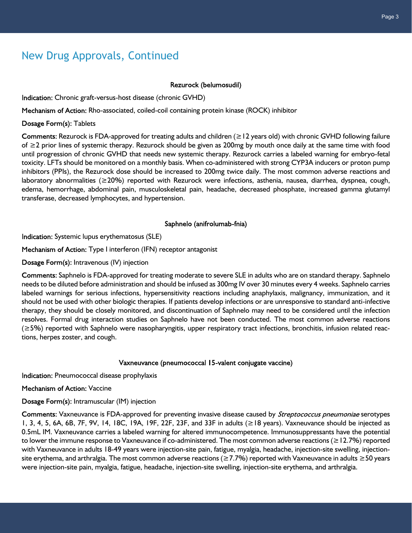## New Drug Approvals, Continued

#### Rezurock (belumosudil)

Indication: Chronic graft-versus-host disease (chronic GVHD)

Mechanism of Action: Rho-associated, coiled-coil containing protein kinase (ROCK) inhibitor

#### Dosage Form(s): Tablets

Comments: Rezurock is FDA-approved for treating adults and children ( $\geq$  12 years old) with chronic GVHD following failure of ≥2 prior lines of systemic therapy. Rezurock should be given as 200mg by mouth once daily at the same time with food until progression of chronic GVHD that needs new systemic therapy. Rezurock carries a labeled warning for embryo-fetal toxicity. LFTs should be monitored on a monthly basis. When co-administered with strong CYP3A inducers or proton pump inhibitors (PPIs), the Rezurock dose should be increased to 200mg twice daily. The most common adverse reactions and laboratory abnormalities (≥20%) reported with Rezurock were infections, asthenia, nausea, diarrhea, dyspnea, cough, edema, hemorrhage, abdominal pain, musculoskeletal pain, headache, decreased phosphate, increased gamma glutamyl transferase, decreased lymphocytes, and hypertension.

Saphnelo (anifrolumab-fnia)

Indication: Systemic lupus erythematosus (SLE)

Mechanism of Action: Type I interferon (IFN) receptor antagonist

Dosage Form(s): Intravenous (IV) injection

Comments: Saphnelo is FDA-approved for treating moderate to severe SLE in adults who are on standard therapy. Saphnelo needs to be diluted before administration and should be infused as 300mg IV over 30 minutes every 4 weeks. Saphnelo carries labeled warnings for serious infections, hypersensitivity reactions including anaphylaxis, malignancy, immunization, and it should not be used with other biologic therapies. If patients develop infections or are unresponsive to standard anti-infective therapy, they should be closely monitored, and discontinuation of Saphnelo may need to be considered until the infection resolves. Formal drug interaction studies on Saphnelo have not been conducted. The most common adverse reactions (≥5%) reported with Saphnelo were nasopharyngitis, upper respiratory tract infections, bronchitis, infusion related reactions, herpes zoster, and cough.

### Vaxneuvance (pneumococcal 15-valent conjugate vaccine)

Indication: Pneumococcal disease prophylaxis

Mechanism of Action: Vaccine

Dosage Form(s): Intramuscular (IM) injection

Comments: Vaxneuvance is FDA-approved for preventing invasive disease caused by Streptococcus pneumoniae serotypes 1, 3, 4, 5, 6A, 6B, 7F, 9V, 14, 18C, 19A, 19F, 22F, 23F, and 33F in adults (≥18 years). Vaxneuvance should be injected as 0.5mL IM. Vaxneuvance carries a labeled warning for altered immunocompetence. Immunosuppressants have the potential to lower the immune response to Vaxneuvance if co-administered. The most common adverse reactions (≥12.7%) reported with Vaxneuvance in adults 18-49 years were injection-site pain, fatigue, myalgia, headache, injection-site swelling, injectionsite erythema, and arthralgia. The most common adverse reactions (≥7.7%) reported with Vaxneuvance in adults ≥50 years were injection-site pain, myalgia, fatigue, headache, injection-site swelling, injection-site erythema, and arthralgia.